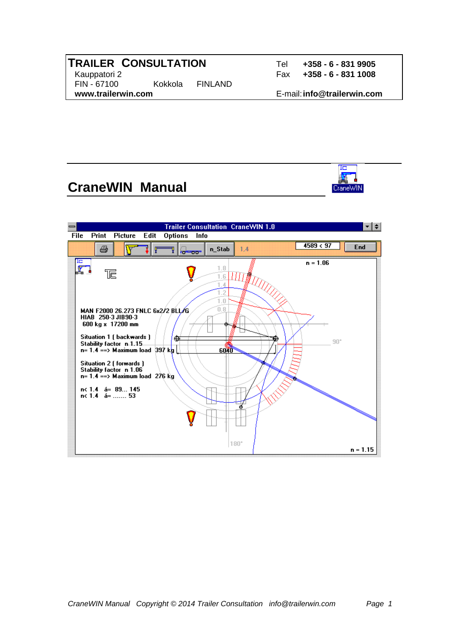#### **TRAILER CONSULTATION** Tel **+358 - 6 - 831 9905**  Kauppatori 2 Fax **+358 - 6 - 831 1008** FIN - 67100 Kokkola FINLAND  **www.trailerwin.com** E-mail: **info@trailerwin.com**

CraneWIN

# **CraneWIN Manual**

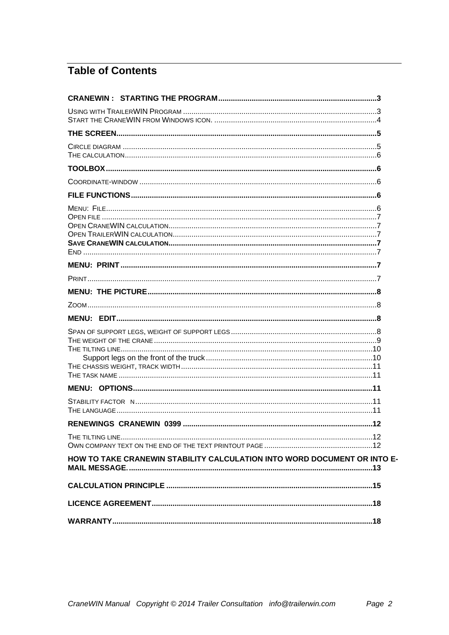# **Table of Contents**

| HOW TO TAKE CRANEWIN STABILITY CALCULATION INTO WORD DOCUMENT OR INTO E- |
|--------------------------------------------------------------------------|
|                                                                          |
|                                                                          |
|                                                                          |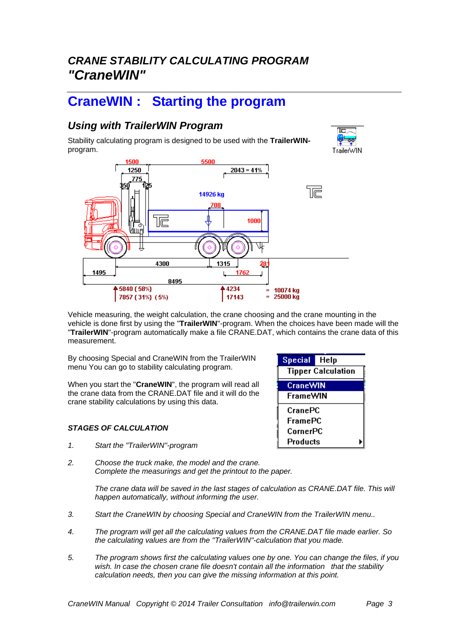# *CRANE STABILITY CALCULATING PROGRAM "CraneWIN"*

# **CraneWIN : Starting the program**

## *Using with TrailerWIN Program*

Stability calculating program is designed to be used with the **TrailerWIN**program.





Vehicle measuring, the weight calculation, the crane choosing and the crane mounting in the vehicle is done first by using the "**TrailerWIN**"-program. When the choices have been made will the "**TrailerWIN**"-program automatically make a file CRANE.DAT, which contains the crane data of this measurement.

By choosing Special and CraneWIN from the TrailerWIN menu You can go to stability calculating program.

When you start the "**CraneWIN**", the program will read all the crane data from the CRANE.DAT file and it will do the crane stability calculations by using this data.

#### *STAGES OF CALCULATION*

- *1. Start the "TrailerWIN"-program*
- *2. Choose the truck make, the model and the crane. Complete the measurings and get the printout to the paper.*

The crane data will be saved in the last stages of calculation as CRANE.DAT file. This will *happen automatically, without informing the user.* 

- *3. Start the CraneWIN by choosing Special and CraneWIN from the TrailerWIN menu..*
- *4. The program will get all the calculating values from the CRANE.DAT file made earlier. So the calculating values are from the "TrailerWIN"-calculation that you made.*
- *5. The program shows first the calculating values one by one. You can change the files, if you wish. In case the chosen crane file doesn't contain all the information that the stability calculation needs, then you can give the missing information at this point.*

| <b>Special</b><br>Help    |
|---------------------------|
| <b>Tipper Calculation</b> |
| <b>CraneWIN</b>           |
| <b>FrameWIN</b>           |
| CranePC                   |
| FramePC                   |
| CornerPC                  |
| Products                  |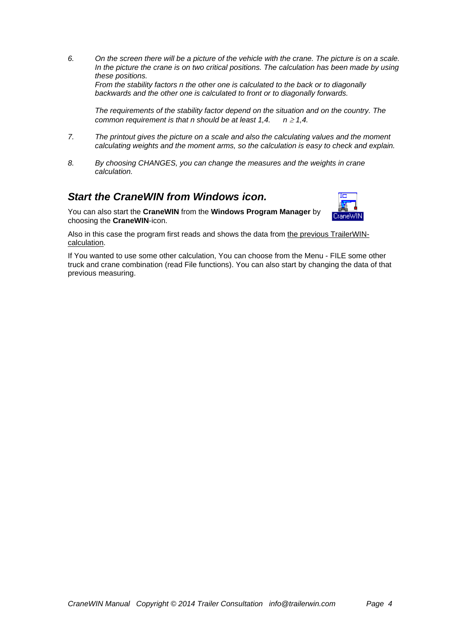*6. On the screen there will be a picture of the vehicle with the crane. The picture is on a scale.*  In the picture the crane is on two critical positions. The calculation has been made by using *these positions. From the stability factors n the other one is calculated to the back or to diagonally backwards and the other one is calculated to front or to diagonally forwards.* 

 *The requirements of the stability factor depend on the situation and on the country. The common requirement is that n should be at least 1,4.*  $n \ge 1,4$ *.* 

- *7. The printout gives the picture on a scale and also the calculating values and the moment calculating weights and the moment arms, so the calculation is easy to check and explain.*
- *8. By choosing CHANGES, you can change the measures and the weights in crane calculation.*

#### *Start the CraneWIN from Windows icon.*



You can also start the **CraneWIN** from the **Windows Program Manager** by choosing the **CraneWIN**-icon.

Also in this case the program first reads and shows the data from the previous TrailerWINcalculation.

If You wanted to use some other calculation, You can choose from the Menu - FILE some other truck and crane combination (read File functions). You can also start by changing the data of that previous measuring.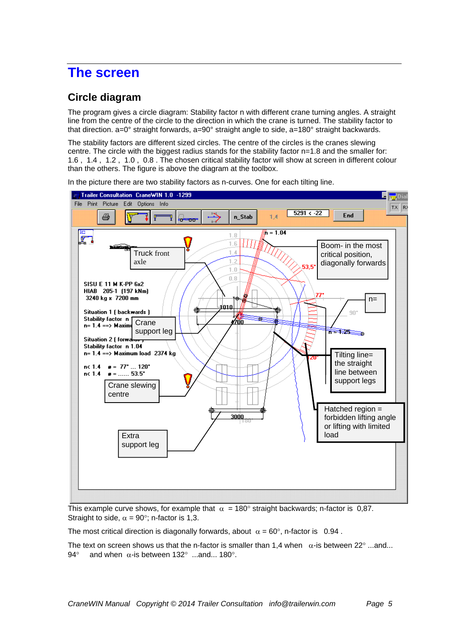# **The screen**

## **Circle diagram**

The program gives a circle diagram: Stability factor n with different crane turning angles. A straight line from the centre of the circle to the direction in which the crane is turned. The stability factor to that direction. a=0° straight forwards, a=90° straight angle to side, a=180° straight backwards.

The stability factors are different sized circles. The centre of the circles is the cranes slewing centre. The circle with the biggest radius stands for the stability factor n=1.8 and the smaller for: 1.6 , 1.4 , 1.2 , 1.0 , 0.8 . The chosen critical stability factor will show at screen in different colour than the others. The figure is above the diagram at the toolbox.



In the picture there are two stability factors as n-curves. One for each tilting line.

This example curve shows, for example that  $\alpha = 180^\circ$  straight backwards; n-factor is 0,87. Straight to side,  $\alpha = 90^{\circ}$ ; n-factor is 1.3.

The most critical direction is diagonally forwards, about  $\alpha = 60^{\circ}$ , n-factor is 0.94.

The text on screen shows us that the n-factor is smaller than 1,4 when  $\alpha$ -is between 22 $^{\circ}$  ...and... 94 $^{\circ}$  and when  $\alpha$ -is between 132 $^{\circ}$  ...and... 180 $^{\circ}$ .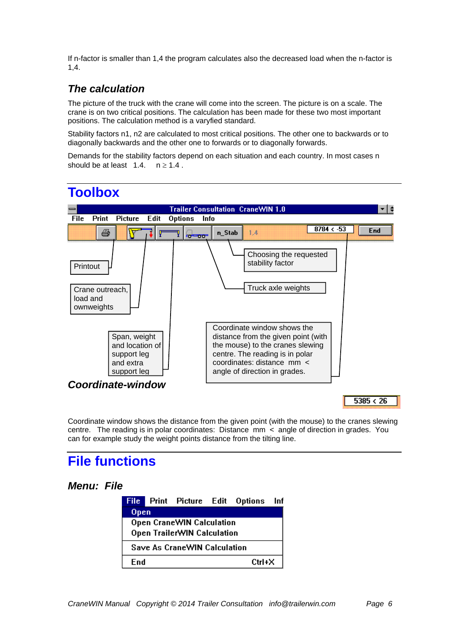If n-factor is smaller than 1,4 the program calculates also the decreased load when the n-factor is 1,4.

## *The calculation*

The picture of the truck with the crane will come into the screen. The picture is on a scale. The crane is on two critical positions. The calculation has been made for these two most important positions. The calculation method is a varyfied standard.

Stability factors n1, n2 are calculated to most critical positions. The other one to backwards or to diagonally backwards and the other one to forwards or to diagonally forwards.

Demands for the stability factors depend on each situation and each country. In most cases n should be at least  $1.4.$   $n \ge 1.4$ .



# **Toolbox**

Coordinate window shows the distance from the given point (with the mouse) to the cranes slewing centre. The reading is in polar coordinates: Distance mm < angle of direction in grades. You can for example study the weight points distance from the tilting line.

# **File functions**

#### *Menu: File*

|      |                                     | <b>File</b> Print Picture Edit Options Inf |  |
|------|-------------------------------------|--------------------------------------------|--|
| Open |                                     |                                            |  |
|      | Open CraneWIN Calculation           |                                            |  |
|      | Open TrailerWIN Calculation         |                                            |  |
|      | <b>Save As CraneWIN Calculation</b> |                                            |  |
| Fnd  |                                     | Ctrl+X                                     |  |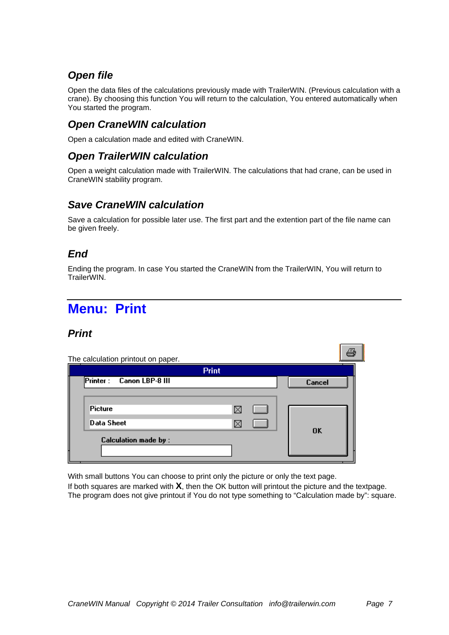## *Open file*

Open the data files of the calculations previously made with TrailerWIN. (Previous calculation with a crane). By choosing this function You will return to the calculation, You entered automatically when You started the program.

### *Open CraneWIN calculation*

Open a calculation made and edited with CraneWIN.

#### *Open TrailerWIN calculation*

Open a weight calculation made with TrailerWIN. The calculations that had crane, can be used in CraneWIN stability program.

## *Save CraneWIN calculation*

Save a calculation for possible later use. The first part and the extention part of the file name can be given freely.

## *End*

Ending the program. In case You started the CraneWIN from the TrailerWIN, You will return to TrailerWIN.

# **Menu: Print**

## *Print*

| The calculation printout on paper. | <b>Print</b> |  |                |
|------------------------------------|--------------|--|----------------|
| Printer: Canon LBP-8 III           |              |  | Cancel         |
| Picture                            |              |  |                |
| Data Sheet                         |              |  | 0 <sup>K</sup> |
| <b>Calculation made by:</b>        |              |  |                |

With small buttons You can choose to print only the picture or only the text page.

If both squares are marked with **X**, then the OK button will printout the picture and the textpage. The program does not give printout if You do not type something to "Calculation made by": square.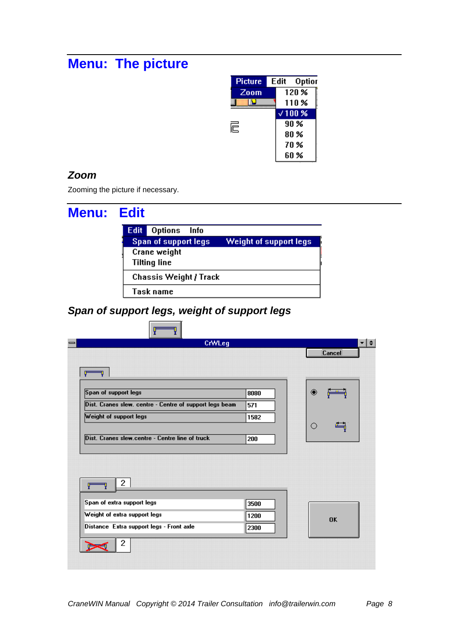# **Menu: The picture**



### *Zoom*

Zooming the picture if necessary.

| <b>Menu: Edit</b> |             |                               |                        |
|-------------------|-------------|-------------------------------|------------------------|
|                   | <b>Edit</b> | Options<br>Info               |                        |
|                   |             | Span of support legs          | Weight of support legs |
|                   |             | Crane weight                  |                        |
|                   |             | <b>Tilting line</b>           |                        |
|                   |             | <b>Chassis Weight / Track</b> |                        |
|                   |             | Task name                     |                        |

# *Span of support legs, weight of support legs*

| CrWLeg                                                  |      |   | ≁l≑       |
|---------------------------------------------------------|------|---|-----------|
|                                                         |      |   | Cancel    |
| Ψ                                                       |      |   |           |
| Span of support legs                                    | 8080 | ◉ |           |
| Dist. Cranes slew. centre - Centre of support legs beam | 571  |   |           |
| Weight of support legs                                  | 1582 |   |           |
|                                                         |      | O |           |
| Dist. Cranes slew.centre - Centre line of truck         | 200  |   |           |
|                                                         |      |   |           |
|                                                         |      |   |           |
| 2                                                       |      |   |           |
|                                                         | 3500 |   |           |
|                                                         |      |   |           |
| Span of extra support legs                              |      |   | <b>OK</b> |
| Weight of extra support legs                            | 1200 |   |           |
| Distance Extra support legs - Front axle                | 2300 |   |           |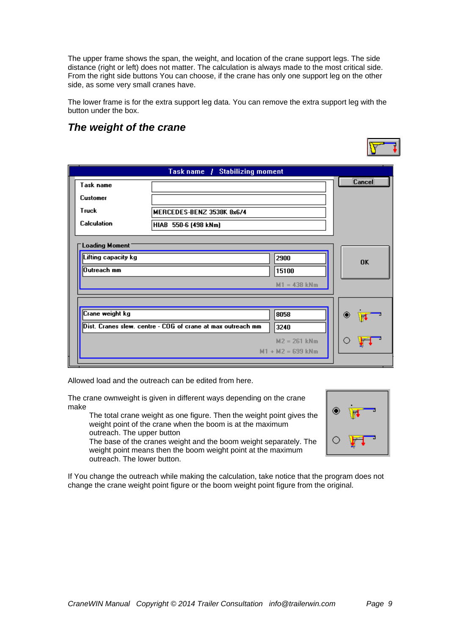The upper frame shows the span, the weight, and location of the crane support legs. The side distance (right or left) does not matter. The calculation is always made to the most critical side. From the right side buttons You can choose, if the crane has only one support leg on the other side, as some very small cranes have.

The lower frame is for the extra support leg data. You can remove the extra support leg with the button under the box.

### *The weight of the crane*

|                                                      | Task name / Stabilizing moment                              |                                       |           |
|------------------------------------------------------|-------------------------------------------------------------|---------------------------------------|-----------|
| Task name                                            |                                                             |                                       | Cancel    |
| <b>Customer</b>                                      |                                                             |                                       |           |
| Truck                                                | MERCEDES-BENZ 3538K 8x6/4                                   |                                       |           |
| Calculation                                          | HIAB 550-6 (498 kNm)                                        |                                       |           |
| Loading Moment<br>Lifting capacity kg<br>Outreach mm |                                                             | 2900<br>15100<br>$M1 = 438$ kNm       | <b>OK</b> |
| Crane weight kg                                      |                                                             | 8058                                  | о         |
|                                                      | Dist. Cranes slew. centre - COG of crane at max outreach mm | 3240                                  | The S     |
|                                                      |                                                             | $M2 = 261$ kNm<br>$M1 + M2 = 699$ kNm |           |
|                                                      |                                                             |                                       |           |

Allowed load and the outreach can be edited from here.

The crane ownweight is given in different ways depending on the crane make

 The total crane weight as one figure. Then the weight point gives the weight point of the crane when the boom is at the maximum outreach. The upper button

 The base of the cranes weight and the boom weight separately. The weight point means then the boom weight point at the maximum outreach. The lower button.



If You change the outreach while making the calculation, take notice that the program does not change the crane weight point figure or the boom weight point figure from the original.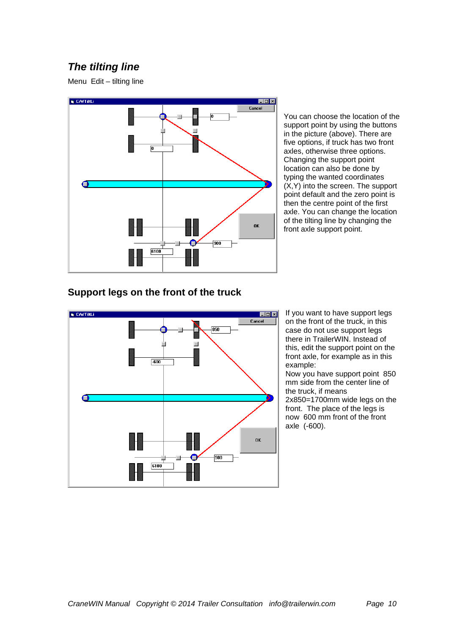# *The tilting line*

Menu Edit – tilting line



You can choose the location of the support point by using the buttons in the picture (above). There are five options, if truck has two front axles, otherwise three options. Changing the support point location can also be done by typing the wanted coordinates (X,Y) into the screen. The support point default and the zero point is then the centre point of the first axle. You can change the location of the tilting line by changing the front axle support point.

#### **Support legs on the front of the truck**



If you want to have support legs on the front of the truck, in this case do not use support legs there in TrailerWIN. Instead of this, edit the support point on the front axle, for example as in this example:

Now you have support point 850 mm side from the center line of the truck, if means 2x850=1700mm wide legs on the front. The place of the legs is now 600 mm front of the front axle (-600).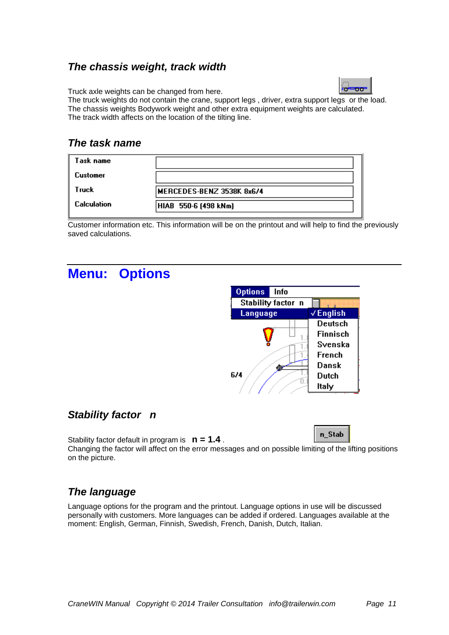## *The chassis weight, track width*

Truck axle weights can be changed from here.



The truck weights do not contain the crane, support legs , driver, extra support legs or the load. The chassis weights Bodywork weight and other extra equipment weights are calculated. The track width affects on the location of the tilting line.

#### *The task name*

| Task name          |                           |
|--------------------|---------------------------|
| Customer           |                           |
| Truck              | MERCEDES-BENZ 3538K 8x6/4 |
| <b>Calculation</b> | HIAB 550-6 (498 kNm)      |
|                    |                           |

Customer information etc. This information will be on the printout and will help to find the previously saved calculations.

# **Menu: Options**



## *Stability factor n*

Stability factor default in program is **n = 1.4** .

n\_Stab

Changing the factor will affect on the error messages and on possible limiting of the lifting positions on the picture.

# *The language*

Language options for the program and the printout. Language options in use will be discussed personally with customers. More languages can be added if ordered. Languages available at the moment: English, German, Finnish, Swedish, French, Danish, Dutch, Italian.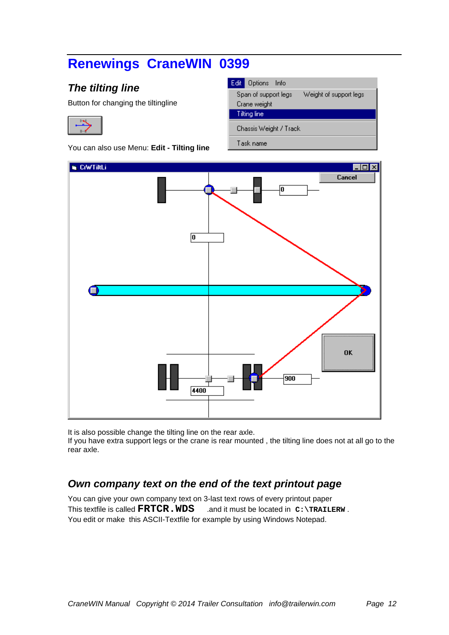# **Renewings CraneWIN 0399**

# *The tilting line*

Button for changing the tiltingline

You can also use Menu: **Edit - Tilting line** 

| Edit Options Info                   |
|-------------------------------------|
| Weight of s<br>Span of support legs |
| Crane weight                        |
| Tilting line                        |
| Chassis Weight / Track              |
| Task name                           |

upport legs



It is also possible change the tilting line on the rear axle.

If you have extra support legs or the crane is rear mounted , the tilting line does not at all go to the rear axle.

# *Own company text on the end of the text printout page*

You can give your own company text on 3-last text rows of every printout paper This textfile is called **FRTCR.WDS** .and it must be located in  $C: \TRATLERW$ . You edit or make this ASCII-Textfile for example by using Windows Notepad.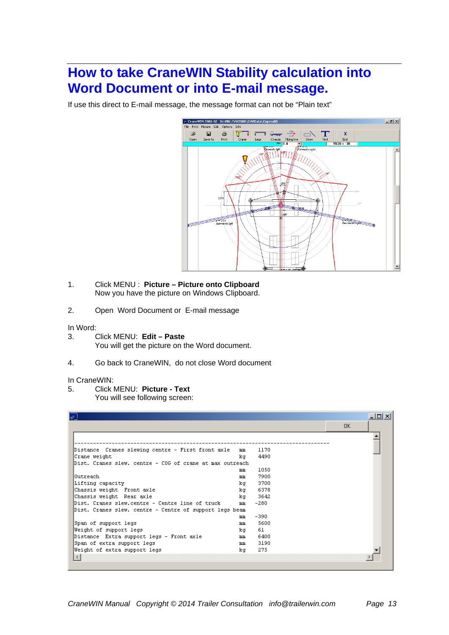# **How to take CraneWIN Stability calculation into Word Document or into E-mail message.**

If use this direct to E-mail message, the message format can not be "Plain text"



- 1. Click MENU : **Picture Picture onto Clipboard** Now you have the picture on Windows Clipboard.
- 2. Open Word Document or E-mail message

#### In Word:

- 3. Click MENU: **Edit Paste** You will get the picture on the Word document.
- 4. Go back to CraneWIN, do not close Word document

#### In CraneWIN:

5. Click MENU: **Picture - Text**

You will see following screen:

| $\frac{1}{2}$                                            |    |        |     | $ \Box$ $\times$ |
|----------------------------------------------------------|----|--------|-----|------------------|
|                                                          |    |        | OK. |                  |
|                                                          |    |        |     |                  |
| Distance Cranes slewing centre - First front axle        | mm | 1170   |     |                  |
| Crane weight                                             | kα | 4490   |     |                  |
| Dist. Cranes slew, centre - COG of crane at max outreach |    |        |     |                  |
|                                                          | mm | 1050   |     |                  |
| l0utreach-                                               | mm | 7900   |     |                  |
| Lifting capacity                                         | kα | 3700   |     |                  |
| Chassis weight Front axle                                | kα | 6378   |     |                  |
| Chassis weight Rear axle                                 | kα | 3642   |     |                  |
| Dist. Cranes slew.centre - Centre line of truck          | mm | $-280$ |     |                  |
| Dist. Cranes slew. centre - Centre of support legs beam  |    |        |     |                  |
|                                                          | mm | $-390$ |     |                  |
| Span of support legs                                     | mm | 5600   |     |                  |
| Weight of support legs                                   | kα | 61     |     |                  |
| Distance Extra support legs - Front axle                 | mm | 6400   |     |                  |
| Span of extra support legs                               | mm | 3190   |     |                  |
| Weight of extra support legs                             | kα | 275    |     |                  |
| $\left  \cdot \right $                                   |    |        |     |                  |
|                                                          |    |        |     |                  |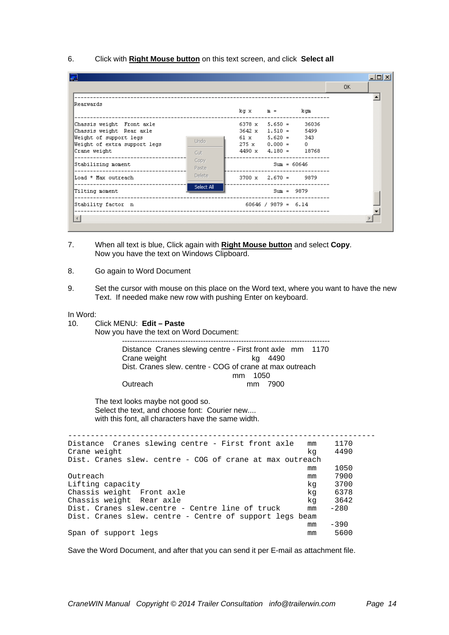6. Click with **Right Mouse button** on this text screen, and click **Select all**

| 産                                                                                                                               |               |                                                                                                                           |                            | OK. |
|---------------------------------------------------------------------------------------------------------------------------------|---------------|---------------------------------------------------------------------------------------------------------------------------|----------------------------|-----|
| Rearwards                                                                                                                       |               | $kg \times m =$                                                                                                           | kqm                        |     |
| Chassis weight Front axle<br>Chassis weight Rear axle<br>Weight of support legs<br>Weight of extra support legs<br>Crane weight | Undo<br>Cut   | $6378 \times 5.650 =$<br>$3642 \times 1.510 =$<br>$61 x$ $5.620 =$<br>$275 \times 0.000 =$<br>$4490 \times 4.180 = 18768$ | 36036<br>5499<br>343<br>Ω. |     |
| ------------------------------<br>Stabilizing moment                                                                            | Copy<br>Paste | $Sum = 60646$                                                                                                             |                            |     |
| Load * Max outreach<br>-------------------------                                                                                | Delete        | $3700 \times 2.670 = 9879$                                                                                                |                            |     |
| Tilting moment                                                                                                                  | Select All    | $Sum = 9879$                                                                                                              |                            |     |
| Stability factor n                                                                                                              |               | $60646 / 9879 = 6.14$                                                                                                     |                            |     |
|                                                                                                                                 |               |                                                                                                                           |                            |     |

- 7. When all text is blue, Click again with **Right Mouse button** and select **Copy**. Now you have the text on Windows Clipboard.
- 8. Go again to Word Document
- 9. Set the cursor with mouse on this place on the Word text, where you want to have the new Text. If needed make new row with pushing Enter on keyboard.

#### In Word:

10. Click MENU: **Edit – Paste**

Now you have the text on Word Document: ----------------------------------------------------------------------------------

| Distance Cranes slewing centre - First front axle mm 1170 |  |         |  |  |  |
|-----------------------------------------------------------|--|---------|--|--|--|
| Crane weight                                              |  | ka 4490 |  |  |  |
| Dist. Cranes slew. centre - COG of crane at max outreach  |  |         |  |  |  |
| mm 1050                                                   |  |         |  |  |  |
| Outreach                                                  |  | mm 7900 |  |  |  |

The text looks maybe not good so. Select the text, and choose font: Courier new.... with this font, all characters have the same width.

| Distance Cranes slewing centre - First front axle        | mm | 1170   |  |  |  |  |  |  |
|----------------------------------------------------------|----|--------|--|--|--|--|--|--|
| Crane weight                                             | kq | 4490   |  |  |  |  |  |  |
| Dist. Cranes slew. centre - COG of crane at max outreach |    |        |  |  |  |  |  |  |
|                                                          | mm | 1050   |  |  |  |  |  |  |
| Outreach                                                 | mm | 7900   |  |  |  |  |  |  |
| Lifting capacity                                         | kq | 3700   |  |  |  |  |  |  |
| Chassis weight Front axle                                | kq | 6378   |  |  |  |  |  |  |
| Chassis weight Rear axle                                 | kq | 3642   |  |  |  |  |  |  |
| Dist. Cranes slew.centre - Centre line of truck          | mm | $-280$ |  |  |  |  |  |  |
| Dist. Cranes slew. centre - Centre of support legs beam  |    |        |  |  |  |  |  |  |
|                                                          | mm | $-390$ |  |  |  |  |  |  |
| Span of support legs                                     | mm | 5600   |  |  |  |  |  |  |
|                                                          |    |        |  |  |  |  |  |  |

Save the Word Document, and after that you can send it per E-mail as attachment file.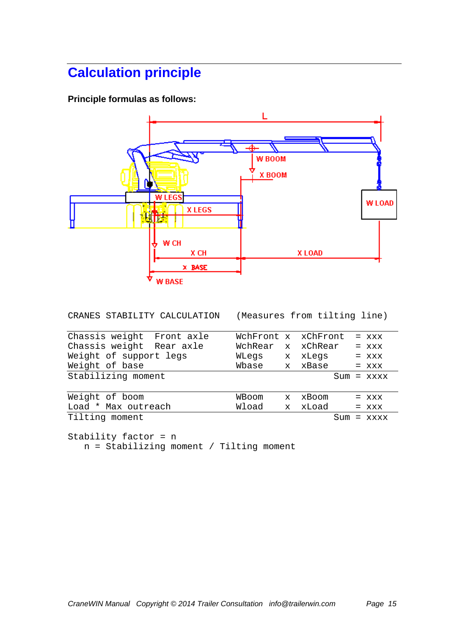# **Calculation principle**

**Principle formulas as follows:** 



CRANES STABILITY CALCULATION (Measures from tilting line)

| Chassis weight Front axle | WchFront x xChFront |              |           | $=$ XXX      |
|---------------------------|---------------------|--------------|-----------|--------------|
| Chassis weight Rear axle  | WchRear             |              | x xChRear | $=$ $XXX$    |
| Weight of support legs    | WLegs               | $\mathbf{x}$ | xLegs     | $=$ XXX      |
| Weight of base            | Wbase               |              | x xBase   | $=$ $XXX$    |
| Stabilizing moment        |                     |              |           | $Sum = XXXX$ |
|                           |                     |              |           |              |
| Weight of boom            | WBoom               | $\mathbf x$  | xBoom     | $=$ XXX      |
| Load * Max outreach       | Wload               | $\mathbf{x}$ | xLoad     | $=$ $XXX$    |
| Tilting moment            |                     |              | Sum       | $=$ xxxx     |

Stability factor = n n = Stabilizing moment / Tilting moment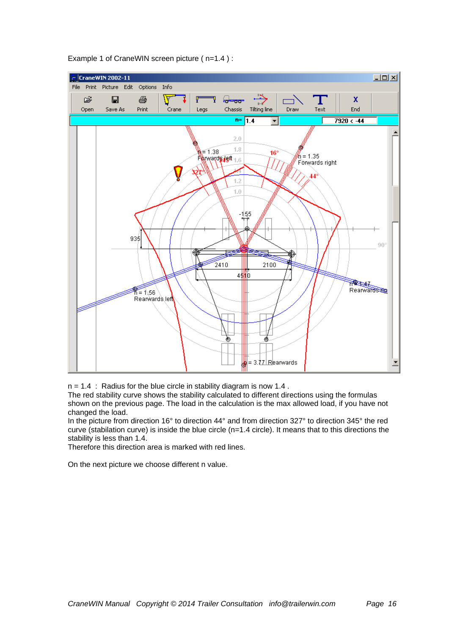

Example 1 of CraneWIN screen picture ( n=1.4 ) :

 $n = 1.4$  : Radius for the blue circle in stability diagram is now 1.4.

The red stability curve shows the stability calculated to different directions using the formulas shown on the previous page. The load in the calculation is the max allowed load, if you have not changed the load.

In the picture from direction 16° to direction 44° and from direction 327° to direction 345° the red curve (stabilation curve) is inside the blue circle (n=1.4 circle). It means that to this directions the stability is less than 1.4.

Therefore this direction area is marked with red lines.

On the next picture we choose different n value.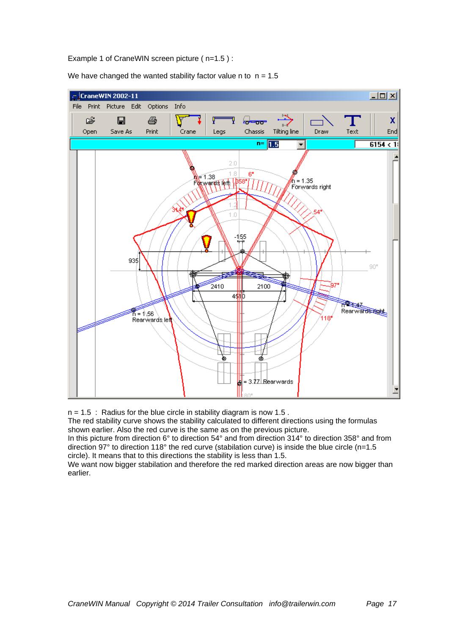Example 1 of CraneWIN screen picture ( n=1.5 ) :

We have changed the wanted stability factor value n to  $n = 1.5$ 



 $n = 1.5$ : Radius for the blue circle in stability diagram is now 1.5.

The red stability curve shows the stability calculated to different directions using the formulas shown earlier. Also the red curve is the same as on the previous picture.

In this picture from direction 6° to direction 54° and from direction 314° to direction 358° and from direction 97° to direction 118° the red curve (stabilation curve) is inside the blue circle (n=1.5 circle). It means that to this directions the stability is less than 1.5.

We want now bigger stabilation and therefore the red marked direction areas are now bigger than earlier.